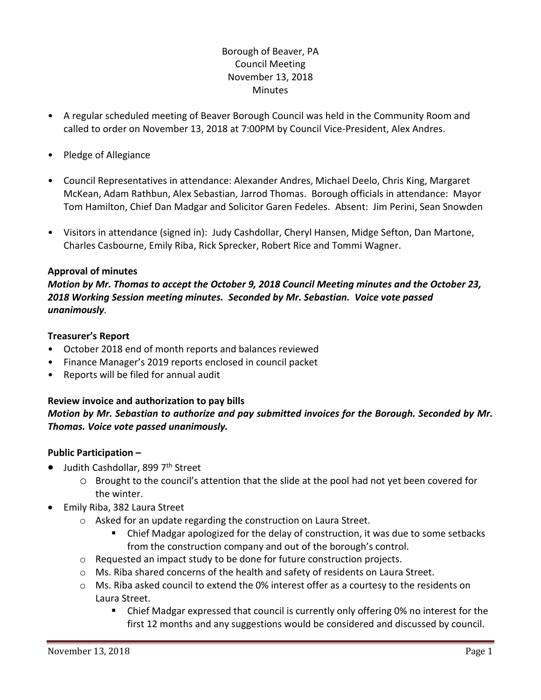# Borough of Beaver, PA Council Meeting November 13, 2018 **Minutes**

- A regular scheduled meeting of Beaver Borough Council was held in the Community Room and called to order on November 13, 2018 at 7:00PM by Council Vice-President, Alex Andres.
- Pledge of Allegiance
- Council Representatives in attendance: Alexander Andres, Michael Deelo, Chris King, Margaret McKean, Adam Rathbun, Alex Sebastian, Jarrod Thomas. Borough officials in attendance: Mayor Tom Hamilton, Chief Dan Madgar and Solicitor Garen Fedeles. Absent: Jim Perini, Sean Snowden
- Visitors in attendance (signed in): Judy Cashdollar, Cheryl Hansen, Midge Sefton, Dan Martone, Charles Casbourne, Emily Riba, Rick Sprecker, Robert Rice and Tommi Wagner.

## **Approval of minutes**

*Motion by Mr. Thomas to accept the October 9, 2018 Council Meeting minutes and the October 23, 2018 Working Session meeting minutes. Seconded by Mr. Sebastian. Voice vote passed unanimously.* 

### **Treasurer's Report**

- October 2018 end of month reports and balances reviewed
- Finance Manager's 2019 reports enclosed in council packet
- Reports will be filed for annual audit

## **Review invoice and authorization to pay bills**

## *Motion by Mr. Sebastian to authorize and pay submitted invoices for the Borough. Seconded by Mr. Thomas. Voice vote passed unanimously.*

## **Public Participation –**

- Judith Cashdollar, 899 7<sup>th</sup> Street
	- o Brought to the council's attention that the slide at the pool had not yet been covered for the winter.
- Emily Riba, 382 Laura Street
	- o Asked for an update regarding the construction on Laura Street.
		- Chief Madgar apologized for the delay of construction, it was due to some setbacks from the construction company and out of the borough's control.
	- o Requested an impact study to be done for future construction projects.
	- o Ms. Riba shared concerns of the health and safety of residents on Laura Street.
	- $\circ$  Ms. Riba asked council to extend the 0% interest offer as a courtesy to the residents on Laura Street.
		- Chief Madgar expressed that council is currently only offering 0% no interest for the first 12 months and any suggestions would be considered and discussed by council.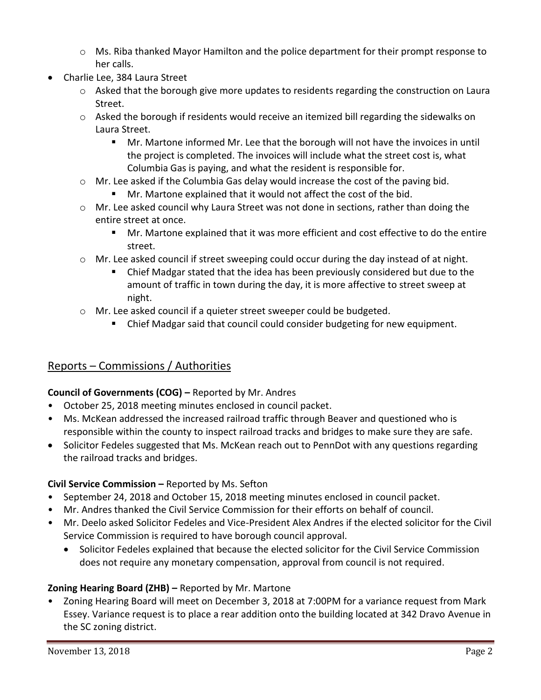- $\circ$  Ms. Riba thanked Mayor Hamilton and the police department for their prompt response to her calls.
- Charlie Lee, 384 Laura Street
	- o Asked that the borough give more updates to residents regarding the construction on Laura Street.
	- o Asked the borough if residents would receive an itemized bill regarding the sidewalks on Laura Street.
		- Mr. Martone informed Mr. Lee that the borough will not have the invoices in until the project is completed. The invoices will include what the street cost is, what Columbia Gas is paying, and what the resident is responsible for.
	- $\circ$  Mr. Lee asked if the Columbia Gas delay would increase the cost of the paving bid.
		- Mr. Martone explained that it would not affect the cost of the bid.
	- $\circ$  Mr. Lee asked council why Laura Street was not done in sections, rather than doing the entire street at once.
		- Mr. Martone explained that it was more efficient and cost effective to do the entire street.
	- $\circ$  Mr. Lee asked council if street sweeping could occur during the day instead of at night.
		- Chief Madgar stated that the idea has been previously considered but due to the amount of traffic in town during the day, it is more affective to street sweep at night.
	- o Mr. Lee asked council if a quieter street sweeper could be budgeted.
		- Chief Madgar said that council could consider budgeting for new equipment.

# Reports – Commissions / Authorities

## **Council of Governments (COG) –** Reported by Mr. Andres

- October 25, 2018 meeting minutes enclosed in council packet.
- Ms. McKean addressed the increased railroad traffic through Beaver and questioned who is responsible within the county to inspect railroad tracks and bridges to make sure they are safe.
- Solicitor Fedeles suggested that Ms. McKean reach out to PennDot with any questions regarding the railroad tracks and bridges.

## **Civil Service Commission –** Reported by Ms. Sefton

- September 24, 2018 and October 15, 2018 meeting minutes enclosed in council packet.
- Mr. Andres thanked the Civil Service Commission for their efforts on behalf of council.
- Mr. Deelo asked Solicitor Fedeles and Vice-President Alex Andres if the elected solicitor for the Civil Service Commission is required to have borough council approval.
	- Solicitor Fedeles explained that because the elected solicitor for the Civil Service Commission does not require any monetary compensation, approval from council is not required.

# **Zoning Hearing Board (ZHB) –** Reported by Mr. Martone

• Zoning Hearing Board will meet on December 3, 2018 at 7:00PM for a variance request from Mark Essey. Variance request is to place a rear addition onto the building located at 342 Dravo Avenue in the SC zoning district.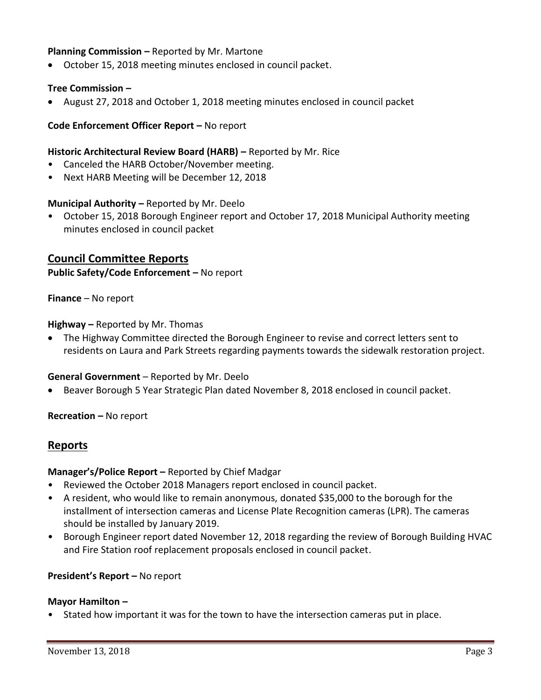### **Planning Commission –** Reported by Mr. Martone

October 15, 2018 meeting minutes enclosed in council packet.

### **Tree Commission –**

August 27, 2018 and October 1, 2018 meeting minutes enclosed in council packet

### **Code Enforcement Officer Report –** No report

#### **Historic Architectural Review Board (HARB) –** Reported by Mr. Rice

- Canceled the HARB October/November meeting.
- Next HARB Meeting will be December 12, 2018

#### **Municipal Authority –** Reported by Mr. Deelo

• October 15, 2018 Borough Engineer report and October 17, 2018 Municipal Authority meeting minutes enclosed in council packet

## **Council Committee Reports**

**Public Safety/Code Enforcement –** No report

**Finance** – No report

**Highway –** Reported by Mr. Thomas

 The Highway Committee directed the Borough Engineer to revise and correct letters sent to residents on Laura and Park Streets regarding payments towards the sidewalk restoration project.

#### **General Government** – Reported by Mr. Deelo

Beaver Borough 5 Year Strategic Plan dated November 8, 2018 enclosed in council packet.

**Recreation –** No report

### **Reports**

#### **Manager's/Police Report –** Reported by Chief Madgar

- Reviewed the October 2018 Managers report enclosed in council packet.
- A resident, who would like to remain anonymous, donated \$35,000 to the borough for the installment of intersection cameras and License Plate Recognition cameras (LPR). The cameras should be installed by January 2019.
- Borough Engineer report dated November 12, 2018 regarding the review of Borough Building HVAC and Fire Station roof replacement proposals enclosed in council packet.

### **President's Report –** No report

#### **Mayor Hamilton –**

• Stated how important it was for the town to have the intersection cameras put in place.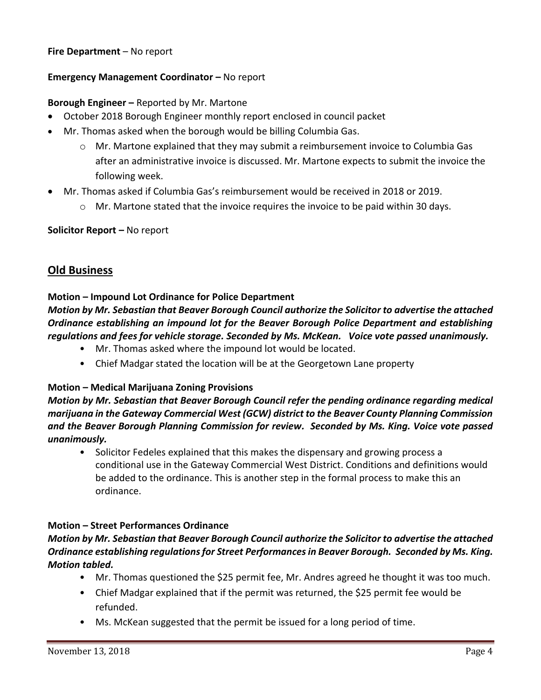## **Fire Department** – No report

### **Emergency Management Coordinator - No report**

#### **Borough Engineer –** Reported by Mr. Martone

- October 2018 Borough Engineer monthly report enclosed in council packet
- Mr. Thomas asked when the borough would be billing Columbia Gas.
	- $\circ$  Mr. Martone explained that they may submit a reimbursement invoice to Columbia Gas after an administrative invoice is discussed. Mr. Martone expects to submit the invoice the following week.
- Mr. Thomas asked if Columbia Gas's reimbursement would be received in 2018 or 2019.
	- $\circ$  Mr. Martone stated that the invoice requires the invoice to be paid within 30 days.

#### **Solicitor Report –** No report

## **Old Business**

### **Motion – Impound Lot Ordinance for Police Department**

*Motion by Mr. Sebastian that Beaver Borough Council authorize the Solicitor to advertise the attached Ordinance establishing an impound lot for the Beaver Borough Police Department and establishing regulations and fees for vehicle storage. Seconded by Ms. McKean. Voice vote passed unanimously.* 

- Mr. Thomas asked where the impound lot would be located.
- Chief Madgar stated the location will be at the Georgetown Lane property

### **Motion – Medical Marijuana Zoning Provisions**

*Motion by Mr. Sebastian that Beaver Borough Council refer the pending ordinance regarding medical marijuana in the Gateway Commercial West (GCW) district to the Beaver County Planning Commission and the Beaver Borough Planning Commission for review. Seconded by Ms. King. Voice vote passed unanimously.* 

• Solicitor Fedeles explained that this makes the dispensary and growing process a conditional use in the Gateway Commercial West District. Conditions and definitions would be added to the ordinance. This is another step in the formal process to make this an ordinance.

### **Motion – Street Performances Ordinance**

## *Motion by Mr. Sebastian that Beaver Borough Council authorize the Solicitor to advertise the attached Ordinance establishing regulations for Street Performances in Beaver Borough. Seconded by Ms. King. Motion tabled.*

- Mr. Thomas questioned the \$25 permit fee, Mr. Andres agreed he thought it was too much.
- Chief Madgar explained that if the permit was returned, the \$25 permit fee would be refunded.
- Ms. McKean suggested that the permit be issued for a long period of time.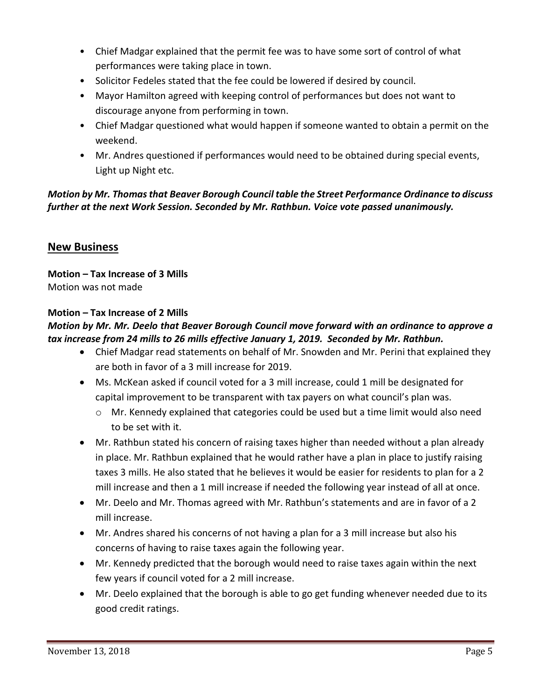- Chief Madgar explained that the permit fee was to have some sort of control of what performances were taking place in town.
- Solicitor Fedeles stated that the fee could be lowered if desired by council.
- Mayor Hamilton agreed with keeping control of performances but does not want to discourage anyone from performing in town.
- Chief Madgar questioned what would happen if someone wanted to obtain a permit on the weekend.
- Mr. Andres questioned if performances would need to be obtained during special events, Light up Night etc.

# *Motion by Mr. Thomas that Beaver Borough Council table the Street Performance Ordinance to discuss further at the next Work Session. Seconded by Mr. Rathbun. Voice vote passed unanimously.*

# **New Business**

**Motion – Tax Increase of 3 Mills** Motion was not made

## **Motion – Tax Increase of 2 Mills**

## *Motion by Mr. Mr. Deelo that Beaver Borough Council move forward with an ordinance to approve a tax increase from 24 mills to 26 mills effective January 1, 2019. Seconded by Mr. Rathbun.*

- Chief Madgar read statements on behalf of Mr. Snowden and Mr. Perini that explained they are both in favor of a 3 mill increase for 2019.
- Ms. McKean asked if council voted for a 3 mill increase, could 1 mill be designated for capital improvement to be transparent with tax payers on what council's plan was.
	- $\circ$  Mr. Kennedy explained that categories could be used but a time limit would also need to be set with it.
- Mr. Rathbun stated his concern of raising taxes higher than needed without a plan already in place. Mr. Rathbun explained that he would rather have a plan in place to justify raising taxes 3 mills. He also stated that he believes it would be easier for residents to plan for a 2 mill increase and then a 1 mill increase if needed the following year instead of all at once.
- Mr. Deelo and Mr. Thomas agreed with Mr. Rathbun's statements and are in favor of a 2 mill increase.
- Mr. Andres shared his concerns of not having a plan for a 3 mill increase but also his concerns of having to raise taxes again the following year.
- Mr. Kennedy predicted that the borough would need to raise taxes again within the next few years if council voted for a 2 mill increase.
- Mr. Deelo explained that the borough is able to go get funding whenever needed due to its good credit ratings.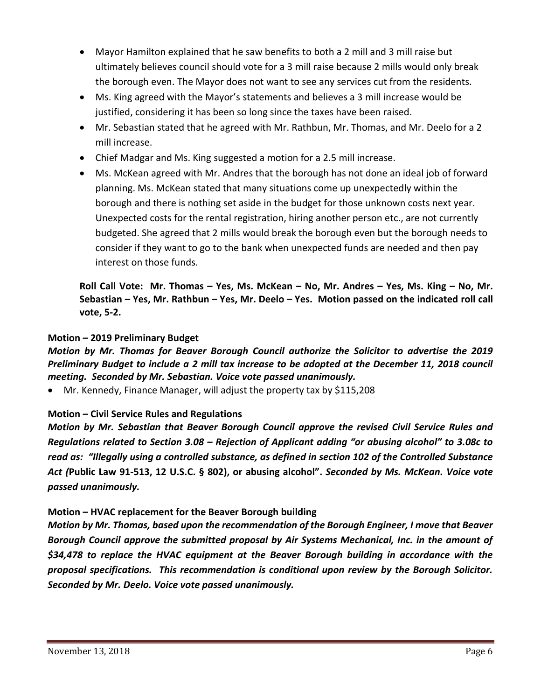- Mayor Hamilton explained that he saw benefits to both a 2 mill and 3 mill raise but ultimately believes council should vote for a 3 mill raise because 2 mills would only break the borough even. The Mayor does not want to see any services cut from the residents.
- Ms. King agreed with the Mayor's statements and believes a 3 mill increase would be justified, considering it has been so long since the taxes have been raised.
- Mr. Sebastian stated that he agreed with Mr. Rathbun, Mr. Thomas, and Mr. Deelo for a 2 mill increase.
- Chief Madgar and Ms. King suggested a motion for a 2.5 mill increase.
- Ms. McKean agreed with Mr. Andres that the borough has not done an ideal job of forward planning. Ms. McKean stated that many situations come up unexpectedly within the borough and there is nothing set aside in the budget for those unknown costs next year. Unexpected costs for the rental registration, hiring another person etc., are not currently budgeted. She agreed that 2 mills would break the borough even but the borough needs to consider if they want to go to the bank when unexpected funds are needed and then pay interest on those funds.

**Roll Call Vote: Mr. Thomas – Yes, Ms. McKean – No, Mr. Andres – Yes, Ms. King – No, Mr. Sebastian – Yes, Mr. Rathbun – Yes, Mr. Deelo – Yes. Motion passed on the indicated roll call vote, 5-2.**

## **Motion – 2019 Preliminary Budget**

*Motion by Mr. Thomas for Beaver Borough Council authorize the Solicitor to advertise the 2019 Preliminary Budget to include a 2 mill tax increase to be adopted at the December 11, 2018 council meeting. Seconded by Mr. Sebastian. Voice vote passed unanimously.*

Mr. Kennedy, Finance Manager, will adjust the property tax by \$115,208

## **Motion – Civil Service Rules and Regulations**

*Motion by Mr. Sebastian that Beaver Borough Council approve the revised Civil Service Rules and Regulations related to Section 3.08 – Rejection of Applicant adding "or abusing alcohol" to 3.08c to read as: "Illegally using a controlled substance, as defined in section 102 of the Controlled Substance Act (***Public Law 91-513, 12 U.S.C. § 802), or abusing alcohol".** *Seconded by Ms. McKean. Voice vote passed unanimously.*

## **Motion – HVAC replacement for the Beaver Borough building**

*Motion by Mr. Thomas, based upon the recommendation of the Borough Engineer, I move that Beaver Borough Council approve the submitted proposal by Air Systems Mechanical, Inc. in the amount of \$34,478 to replace the HVAC equipment at the Beaver Borough building in accordance with the proposal specifications. This recommendation is conditional upon review by the Borough Solicitor. Seconded by Mr. Deelo. Voice vote passed unanimously.*